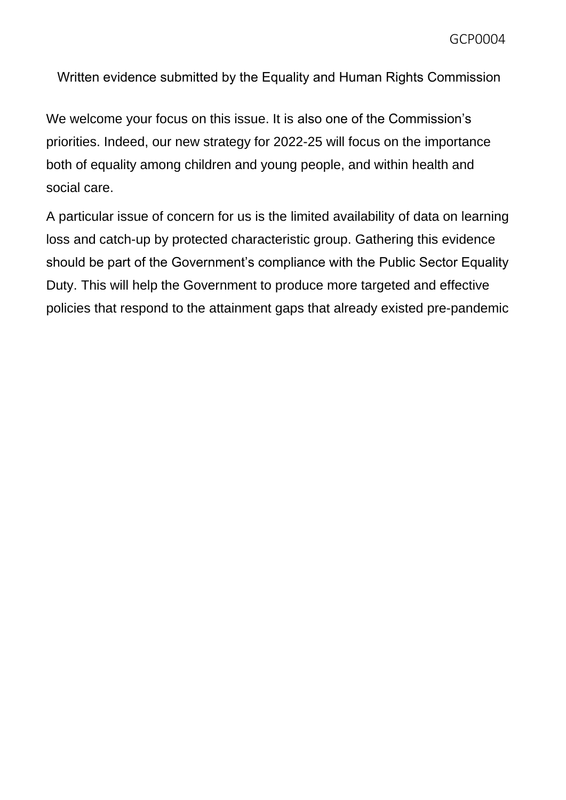GCP0004

Written evidence submitted by the Equality and Human Rights Commission

We welcome your focus on this issue. It is also one of the Commission's priorities. Indeed, our new strategy for 2022-25 will focus on the importance both of equality among children and young people, and within health and social care.

A particular issue of concern for us is the limited availability of data on learning loss and catch-up by protected characteristic group. Gathering this evidence should be part of the Government's compliance with the Public Sector Equality Duty. This will help the Government to produce more targeted and effective policies that respond to the attainment gaps that already existed pre-pandemic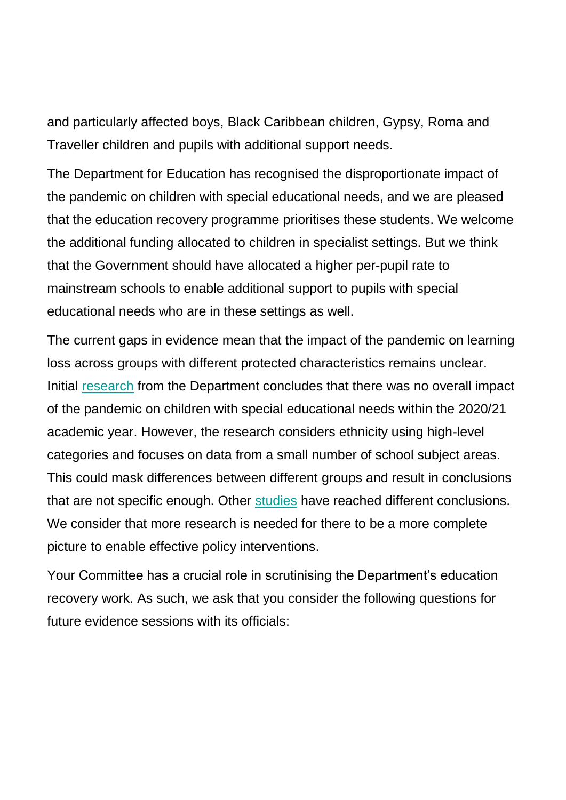and particularly affected boys, Black Caribbean children, Gypsy, Roma and Traveller children and pupils with additional support needs.

The Department for Education has recognised the disproportionate impact of the pandemic on children with special educational needs, and we are pleased that the education recovery programme prioritises these students. We welcome the additional funding allocated to children in specialist settings. But we think that the Government should have allocated a higher per-pupil rate to mainstream schools to enable additional support to pupils with special educational needs who are in these settings as well.

The current gaps in evidence mean that the impact of the pandemic on learning loss across groups with different protected characteristics remains unclear. Initial [research](chrome-extension://efaidnbmnnnibpcajpcglclefindmkaj/viewer.html?pdfurl=https%3A%2F%2Fassets.publishing.service.gov.uk%2Fgovernment%2Fuploads%2Fsystem%2Fuploads%2Fattachment_data%2Ffile%2F1029841%2FUnderstanding_progress_in_the_2020-21_academic_year_Report_4_October2021.pdf&clen=1016963&chunk=true) from the Department concludes that there was no overall impact of the pandemic on children with special educational needs within the 2020/21 academic year. However, the research considers ethnicity using high-level categories and focuses on data from a small number of school subject areas. This could mask differences between different groups and result in conclusions that are not specific enough. Other [studies](chrome-extension://efaidnbmnnnibpcajpcglclefindmkaj/viewer.html?pdfurl=https%3A%2F%2F21e8jl3324au2z28ej2uho3t-wpengine.netdna-ssl.com%2Fwp-content%2Fuploads%2Fjuniper_folder%2FJuniper-Education-National-Benchmark-Dataset-Report.pdf&clen=243765&chunk=true) have reached different conclusions. We consider that more research is needed for there to be a more complete picture to enable effective policy interventions.

Your Committee has a crucial role in scrutinising the Department's education recovery work. As such, we ask that you consider the following questions for future evidence sessions with its officials: